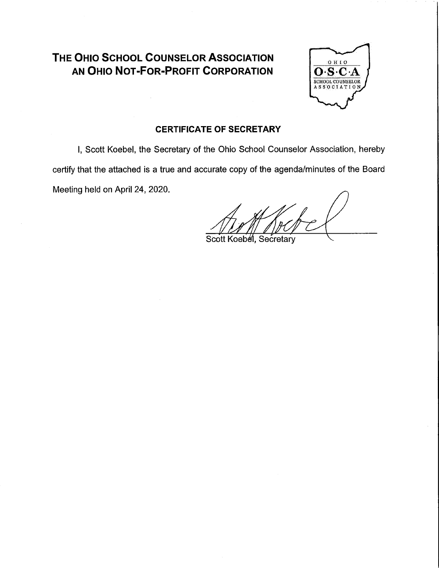# THE OHIO SCHOOL COUNSELOR ASSOCIATION AN OHIO NOT-FOR-PROFIT CORPORATION



## **CERTIFICATE OF SECRETARY**

I, Scott Koebel, the Secretary of the Ohio School Counselor Association, hereby certify that the attached is a true and accurate copy of the agenda/minutes of the Board Meeting held on April 24, 2020.

Scott Koebel, Secretary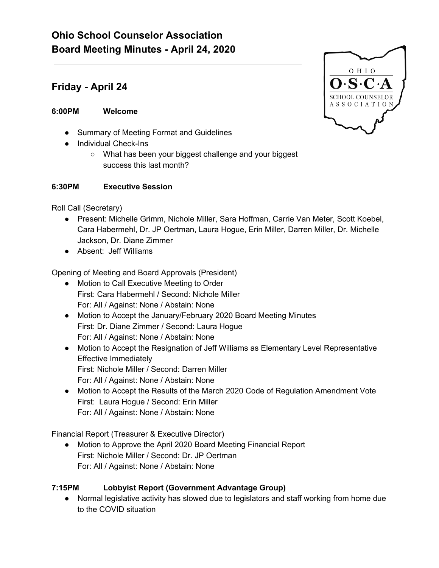# **Ohio School Counselor Association Board Meeting Minutes - April 24, 2020**

## **Friday - April 24**

## **6:00PM Welcome**

- Summary of Meeting Format and Guidelines
- Individual Check-Ins
	- What has been your biggest challenge and your biggest success this last month?

#### **6:30PM Executive Session**

Roll Call (Secretary)

- Present: Michelle Grimm, Nichole Miller, Sara Hoffman, Carrie Van Meter, Scott Koebel, Cara Habermehl, Dr. JP Oertman, Laura Hogue, Erin Miller, Darren Miller, Dr. Michelle Jackson, Dr. Diane Zimmer
- Absent: Jeff Williams

Opening of Meeting and Board Approvals (President)

- Motion to Call Executive Meeting to Order First: Cara Habermehl / Second: Nichole Miller For: All / Against: None / Abstain: None
- Motion to Accept the January/February 2020 Board Meeting Minutes First: Dr. Diane Zimmer / Second: Laura Hogue For: All / Against: None / Abstain: None
- Motion to Accept the Resignation of Jeff Williams as Elementary Level Representative Effective Immediately First: Nichole Miller / Second: Darren Miller For: All / Against: None / Abstain: None
- Motion to Accept the Results of the March 2020 Code of Regulation Amendment Vote First: Laura Hogue / Second: Erin Miller For: All / Against: None / Abstain: None

Financial Report (Treasurer & Executive Director)

● Motion to Approve the April 2020 Board Meeting Financial Report First: Nichole Miller / Second: Dr. JP Oertman For: All / Against: None / Abstain: None

## **7:15PM Lobbyist Report (Government Advantage Group)**

● Normal legislative activity has slowed due to legislators and staff working from home due to the COVID situation

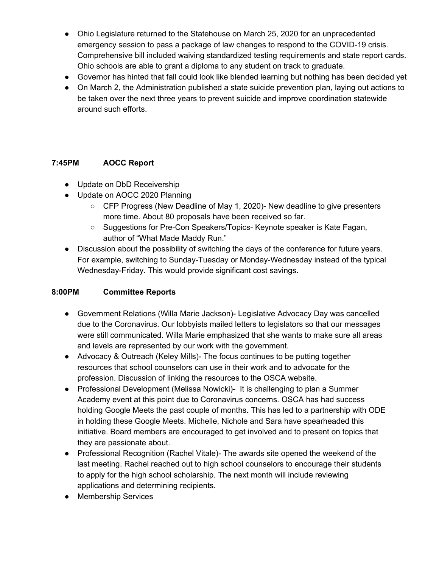- Ohio Legislature returned to the Statehouse on March 25, 2020 for an unprecedented emergency session to pass a package of law changes to respond to the COVID-19 crisis. Comprehensive bill included waiving standardized testing requirements and state report cards. Ohio schools are able to grant a diploma to any student on track to graduate.
- Governor has hinted that fall could look like blended learning but nothing has been decided yet
- On March 2, the Administration published a state suicide prevention plan, laying out actions to be taken over the next three years to prevent suicide and improve coordination statewide around such efforts.

#### **7:45PM AOCC Report**

- Update on DbD Receivership
- Update on AOCC 2020 Planning
	- CFP Progress (New Deadline of May 1, 2020)- New deadline to give presenters more time. About 80 proposals have been received so far.
	- Suggestions for Pre-Con Speakers/Topics- Keynote speaker is Kate Fagan, author of "What Made Maddy Run."
- Discussion about the possibility of switching the days of the conference for future years. For example, switching to Sunday-Tuesday or Monday-Wednesday instead of the typical Wednesday-Friday. This would provide significant cost savings.

### **8:00PM Committee Reports**

- Government Relations (Willa Marie Jackson)- Legislative Advocacy Day was cancelled due to the Coronavirus. Our lobbyists mailed letters to legislators so that our messages were still communicated. Willa Marie emphasized that she wants to make sure all areas and levels are represented by our work with the government.
- Advocacy & Outreach (Keley Mills)- The focus continues to be putting together resources that school counselors can use in their work and to advocate for the profession. Discussion of linking the resources to the OSCA website.
- Professional Development (Melissa Nowicki)- It is challenging to plan a Summer Academy event at this point due to Coronavirus concerns. OSCA has had success holding Google Meets the past couple of months. This has led to a partnership with ODE in holding these Google Meets. Michelle, Nichole and Sara have spearheaded this initiative. Board members are encouraged to get involved and to present on topics that they are passionate about.
- Professional Recognition (Rachel Vitale)- The awards site opened the weekend of the last meeting. Rachel reached out to high school counselors to encourage their students to apply for the high school scholarship. The next month will include reviewing applications and determining recipients.
- Membership Services